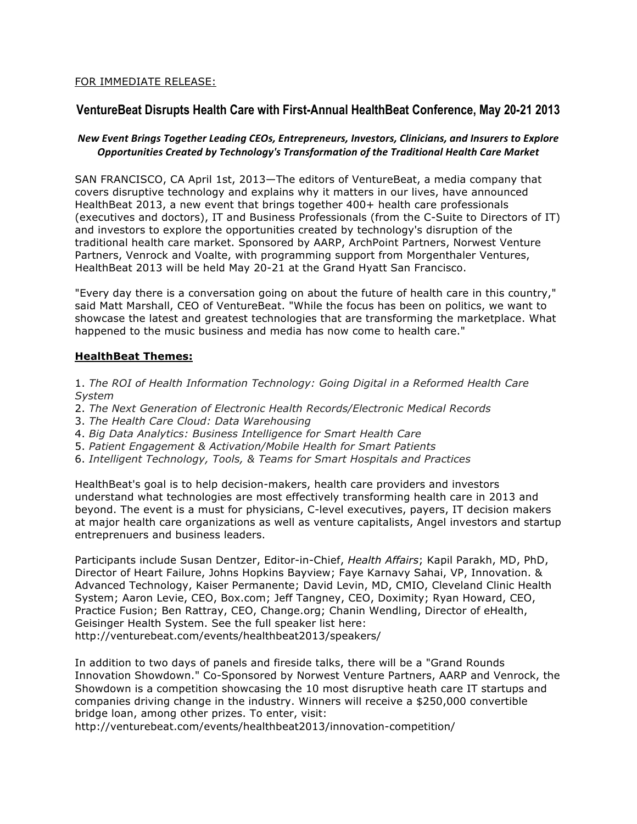### FOR IMMEDIATE RELEASE:

# **VentureBeat Disrupts Health Care with First-Annual HealthBeat Conference, May 20-21 2013**

## *New Event Brings Together Leading CEOs, Entrepreneurs, Investors, Clinicians, and Insurers to Explore* **Opportunities Created by Technology's Transformation of the Traditional Health Care Market**

SAN FRANCISCO, CA April 1st, 2013—The editors of VentureBeat, a media company that covers disruptive technology and explains why it matters in our lives, have announced HealthBeat 2013, a new event that brings together 400+ health care professionals (executives and doctors), IT and Business Professionals (from the C-Suite to Directors of IT) and investors to explore the opportunities created by technology's disruption of the traditional health care market. Sponsored by AARP, ArchPoint Partners, Norwest Venture Partners, Venrock and Voalte, with programming support from Morgenthaler Ventures, HealthBeat 2013 will be held May 20-21 at the Grand Hyatt San Francisco.

"Every day there is a conversation going on about the future of health care in this country," said Matt Marshall, CEO of VentureBeat. "While the focus has been on politics, we want to showcase the latest and greatest technologies that are transforming the marketplace. What happened to the music business and media has now come to health care."

#### **HealthBeat Themes:**

1. *The ROI of Health Information Technology: Going Digital in a Reformed Health Care System*

- 2. *The Next Generation of Electronic Health Records/Electronic Medical Records*
- 3. *The Health Care Cloud: Data Warehousing*
- 4. *Big Data Analytics: Business Intelligence for Smart Health Care*
- 5. *Patient Engagement & Activation/Mobile Health for Smart Patients*
- 6. *Intelligent Technology, Tools, & Teams for Smart Hospitals and Practices*

HealthBeat's goal is to help decision-makers, health care providers and investors understand what technologies are most effectively transforming health care in 2013 and beyond. The event is a must for physicians, C-level executives, payers, IT decision makers at major health care organizations as well as venture capitalists, Angel investors and startup entreprenuers and business leaders.

Participants include Susan Dentzer, Editor-in-Chief, *Health Affairs*; Kapil Parakh, MD, PhD, Director of Heart Failure, Johns Hopkins Bayview; Faye Karnavy Sahai, VP, Innovation. & Advanced Technology, Kaiser Permanente; David Levin, MD, CMIO, Cleveland Clinic Health System; Aaron Levie, CEO, Box.com; Jeff Tangney, CEO, Doximity; Ryan Howard, CEO, Practice Fusion; Ben Rattray, CEO, Change.org; Chanin Wendling, Director of eHealth, Geisinger Health System. See the full speaker list here: http://venturebeat.com/events/healthbeat2013/speakers/

In addition to two days of panels and fireside talks, there will be a "Grand Rounds Innovation Showdown." Co-Sponsored by Norwest Venture Partners, AARP and Venrock, the Showdown is a competition showcasing the 10 most disruptive heath care IT startups and companies driving change in the industry. Winners will receive a \$250,000 convertible bridge loan, among other prizes. To enter, visit:

http://venturebeat.com/events/healthbeat2013/innovation-competition/